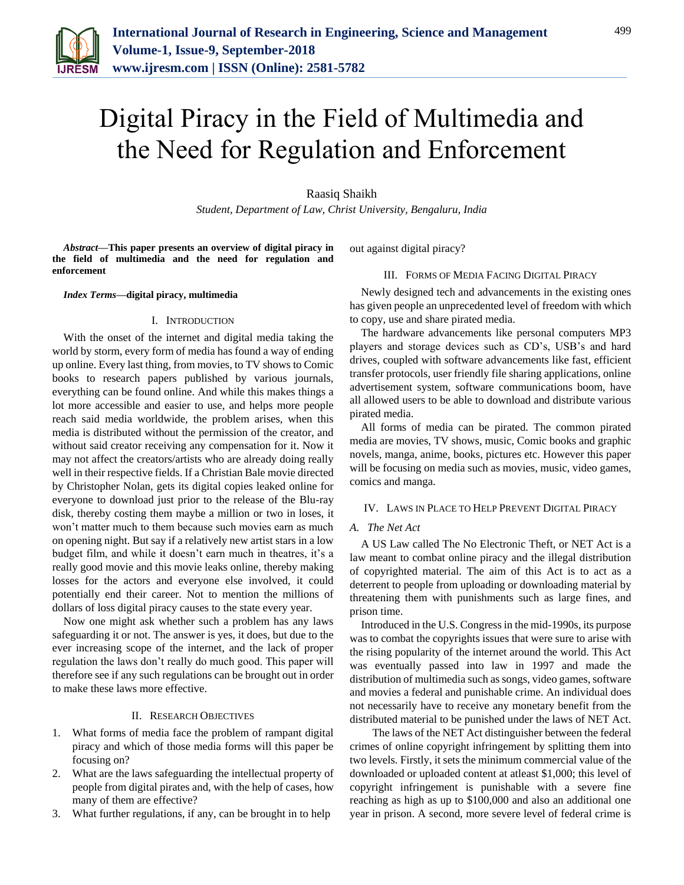

# Digital Piracy in the Field of Multimedia and the Need for Regulation and Enforcement

# Raasiq Shaikh

*Student, Department of Law, Christ University, Bengaluru, India*

*Abstract***—This paper presents an overview of digital piracy in the field of multimedia and the need for regulation and enforcement**

*Index Terms***—digital piracy, multimedia**

# I. INTRODUCTION

With the onset of the internet and digital media taking the world by storm, every form of media has found a way of ending up online. Every last thing, from movies, to TV shows to Comic books to research papers published by various journals, everything can be found online. And while this makes things a lot more accessible and easier to use, and helps more people reach said media worldwide, the problem arises, when this media is distributed without the permission of the creator, and without said creator receiving any compensation for it. Now it may not affect the creators/artists who are already doing really well in their respective fields. If a Christian Bale movie directed by Christopher Nolan, gets its digital copies leaked online for everyone to download just prior to the release of the Blu-ray disk, thereby costing them maybe a million or two in loses, it won't matter much to them because such movies earn as much on opening night. But say if a relatively new artist stars in a low budget film, and while it doesn't earn much in theatres, it's a really good movie and this movie leaks online, thereby making losses for the actors and everyone else involved, it could potentially end their career. Not to mention the millions of dollars of loss digital piracy causes to the state every year.

Now one might ask whether such a problem has any laws safeguarding it or not. The answer is yes, it does, but due to the ever increasing scope of the internet, and the lack of proper regulation the laws don't really do much good. This paper will therefore see if any such regulations can be brought out in order to make these laws more effective.

### II. RESEARCH OBJECTIVES

- 1. What forms of media face the problem of rampant digital piracy and which of those media forms will this paper be focusing on?
- 2. What are the laws safeguarding the intellectual property of people from digital pirates and, with the help of cases, how many of them are effective?
- 3. What further regulations, if any, can be brought in to help

out against digital piracy?

## III. FORMS OF MEDIA FACING DIGITAL PIRACY

Newly designed tech and advancements in the existing ones has given people an unprecedented level of freedom with which to copy, use and share pirated media.

The hardware advancements like personal computers MP3 players and storage devices such as CD's, USB's and hard drives, coupled with software advancements like fast, efficient transfer protocols, user friendly file sharing applications, online advertisement system, software communications boom, have all allowed users to be able to download and distribute various pirated media.

All forms of media can be pirated. The common pirated media are movies, TV shows, music, Comic books and graphic novels, manga, anime, books, pictures etc. However this paper will be focusing on media such as movies, music, video games, comics and manga.

### IV. LAWS IN PLACE TO HELP PREVENT DIGITAL PIRACY

# *A. The Net Act*

A US Law called The No Electronic Theft, or NET Act is a law meant to combat online piracy and the illegal distribution of copyrighted material. The aim of this Act is to act as a deterrent to people from uploading or downloading material by threatening them with punishments such as large fines, and prison time.

Introduced in the U.S. Congress in the mid-1990s, its purpose was to combat the copyrights issues that were sure to arise with the rising popularity of the internet around the world. This Act was eventually passed into law in 1997 and made the distribution of multimedia such as songs, video games, software and movies a federal and punishable crime. An individual does not necessarily have to receive any monetary benefit from the distributed material to be punished under the laws of NET Act.

The laws of the NET Act distinguisher between the federal crimes of online copyright infringement by splitting them into two levels. Firstly, it sets the minimum commercial value of the downloaded or uploaded content at atleast \$1,000; this level of copyright infringement is punishable with a severe fine reaching as high as up to \$100,000 and also an additional one year in prison. A second, more severe level of federal crime is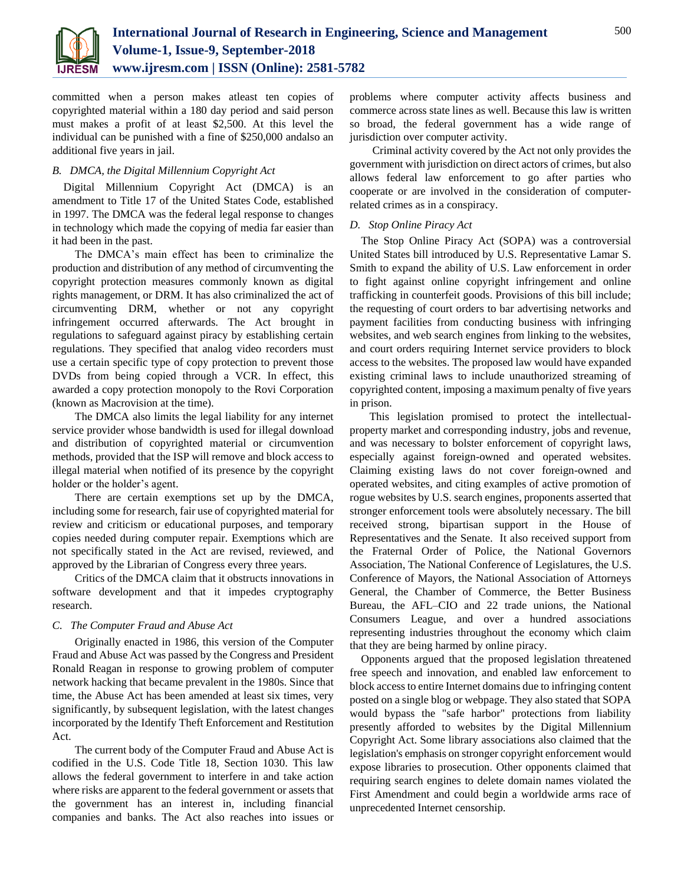

committed when a person makes atleast ten copies of copyrighted material within a 180 day period and said person must makes a profit of at least \$2,500. At this level the individual can be punished with a fine of \$250,000 andalso an additional five years in jail.

# *B. DMCA, the Digital Millennium Copyright Act*

Digital Millennium Copyright Act (DMCA) is an amendment to Title 17 of the United States Code, established in 1997. The DMCA was the federal legal response to changes in technology which made the copying of media far easier than it had been in the past.

The DMCA's main effect has been to criminalize the production and distribution of any method of circumventing the copyright protection measures commonly known as digital rights management, or DRM. It has also criminalized the act of circumventing DRM, whether or not any copyright infringement occurred afterwards. The Act brought in regulations to safeguard against piracy by establishing certain regulations. They specified that analog video recorders must use a certain specific type of copy protection to prevent those DVDs from being copied through a VCR. In effect, this awarded a copy protection monopoly to the Rovi Corporation (known as Macrovision at the time).

The DMCA also limits the legal liability for any internet service provider whose bandwidth is used for illegal download and distribution of copyrighted material or circumvention methods, provided that the ISP will remove and block access to illegal material when notified of its presence by the copyright holder or the holder's agent.

There are certain exemptions set up by the DMCA, including some for research, fair use of copyrighted material for review and criticism or educational purposes, and temporary copies needed during computer repair. Exemptions which are not specifically stated in the Act are revised, reviewed, and approved by the Librarian of Congress every three years.

Critics of the DMCA claim that it obstructs innovations in software development and that it impedes cryptography research.

# *C. The Computer Fraud and Abuse Act*

Originally enacted in 1986, this version of the Computer Fraud and Abuse Act was passed by the Congress and President Ronald Reagan in response to growing problem of computer network hacking that became prevalent in the 1980s. Since that time, the Abuse Act has been amended at least six times, very significantly, by subsequent legislation, with the latest changes incorporated by the Identify Theft Enforcement and Restitution Act.

The current body of the Computer Fraud and Abuse Act is codified in the U.S. Code Title 18, Section 1030. This law allows the federal government to interfere in and take action where risks are apparent to the federal government or assets that the government has an interest in, including financial companies and banks. The Act also reaches into issues or

problems where computer activity affects business and commerce across state lines as well. Because this law is written so broad, the federal government has a wide range of jurisdiction over computer activity.

Criminal activity covered by the Act not only provides the government with jurisdiction on direct actors of crimes, but also allows federal law enforcement to go after parties who cooperate or are involved in the consideration of computerrelated crimes as in a conspiracy.

# *D. Stop Online Piracy Act*

The Stop Online Piracy Act (SOPA) was a controversial United States bill introduced by U.S. Representative Lamar S. Smith to expand the ability of U.S. Law enforcement in order to fight against online copyright infringement and online trafficking in counterfeit goods. Provisions of this bill include; the requesting of court orders to bar advertising networks and payment facilities from conducting business with infringing websites, and web search engines from linking to the websites, and court orders requiring Internet service providers to block access to the websites. The proposed law would have expanded existing criminal laws to include unauthorized streaming of copyrighted content, imposing a maximum penalty of five years in prison.

 This legislation promised to protect the intellectualproperty market and corresponding industry, jobs and revenue, and was necessary to bolster enforcement of copyright laws, especially against foreign-owned and operated websites. Claiming existing laws do not cover foreign-owned and operated websites, and citing examples of active promotion of rogue websites by U.S. search engines, proponents asserted that stronger enforcement tools were absolutely necessary. The bill received strong, bipartisan support in the House of Representatives and the Senate. It also received support from the Fraternal Order of Police, the National Governors Association, The National Conference of Legislatures, the U.S. Conference of Mayors, the National Association of Attorneys General, the Chamber of Commerce, the Better Business Bureau, the AFL–CIO and 22 trade unions, the National Consumers League, and over a hundred associations representing industries throughout the economy which claim that they are being harmed by online piracy.

Opponents argued that the proposed legislation threatened free speech and innovation, and enabled law enforcement to block access to entire Internet domains due to infringing content posted on a single blog or webpage. They also stated that SOPA would bypass the "safe harbor" protections from liability presently afforded to websites by the Digital Millennium Copyright Act. Some library associations also claimed that the legislation's emphasis on stronger copyright enforcement would expose libraries to prosecution. Other opponents claimed that requiring search engines to delete domain names violated the First Amendment and could begin a worldwide arms race of unprecedented Internet censorship.